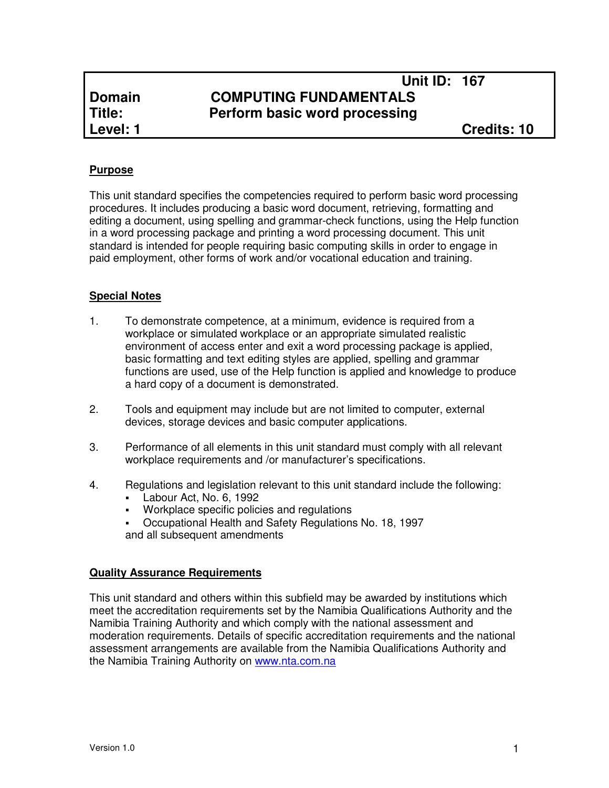# **Unit ID: 167 Domain COMPUTING FUNDAMENTALS<br>
<b>Title:** Perform basic word processing **Perform basic word processing**

# **Purpose**

This unit standard specifies the competencies required to perform basic word processing procedures. It includes producing a basic word document, retrieving, formatting and editing a document, using spelling and grammar-check functions, using the Help function in a word processing package and printing a word processing document. This unit standard is intended for people requiring basic computing skills in order to engage in paid employment, other forms of work and/or vocational education and training.

# **Special Notes**

- 1. To demonstrate competence, at a minimum, evidence is required from a workplace or simulated workplace or an appropriate simulated realistic environment of access enter and exit a word processing package is applied, basic formatting and text editing styles are applied, spelling and grammar functions are used, use of the Help function is applied and knowledge to produce a hard copy of a document is demonstrated.
- 2. Tools and equipment may include but are not limited to computer, external devices, storage devices and basic computer applications.
- 3. Performance of all elements in this unit standard must comply with all relevant workplace requirements and /or manufacturer's specifications.
- 4. Regulations and legislation relevant to this unit standard include the following:
	- Labour Act, No. 6, 1992
	- **Workplace specific policies and regulations**
	- Occupational Health and Safety Regulations No. 18, 1997 and all subsequent amendments

## **Quality Assurance Requirements**

This unit standard and others within this subfield may be awarded by institutions which meet the accreditation requirements set by the Namibia Qualifications Authority and the Namibia Training Authority and which comply with the national assessment and moderation requirements. Details of specific accreditation requirements and the national assessment arrangements are available from the Namibia Qualifications Authority and the Namibia Training Authority on www.nta.com.na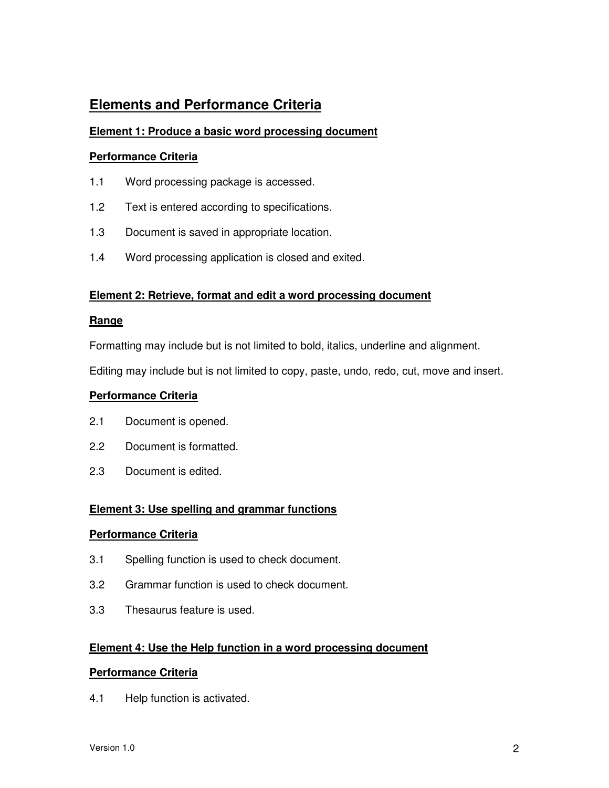# **Elements and Performance Criteria**

# **Element 1: Produce a basic word processing document**

#### **Performance Criteria**

- 1.1 Word processing package is accessed.
- 1.2 Text is entered according to specifications.
- 1.3 Document is saved in appropriate location.
- 1.4 Word processing application is closed and exited.

## **Element 2: Retrieve, format and edit a word processing document**

#### **Range**

Formatting may include but is not limited to bold, italics, underline and alignment.

Editing may include but is not limited to copy, paste, undo, redo, cut, move and insert.

#### **Performance Criteria**

- 2.1 Document is opened.
- 2.2 Document is formatted.
- 2.3 Document is edited.

## **Element 3: Use spelling and grammar functions**

## **Performance Criteria**

- 3.1 Spelling function is used to check document.
- 3.2 Grammar function is used to check document.
- 3.3 Thesaurus feature is used.

## **Element 4: Use the Help function in a word processing document**

## **Performance Criteria**

4.1 Help function is activated.